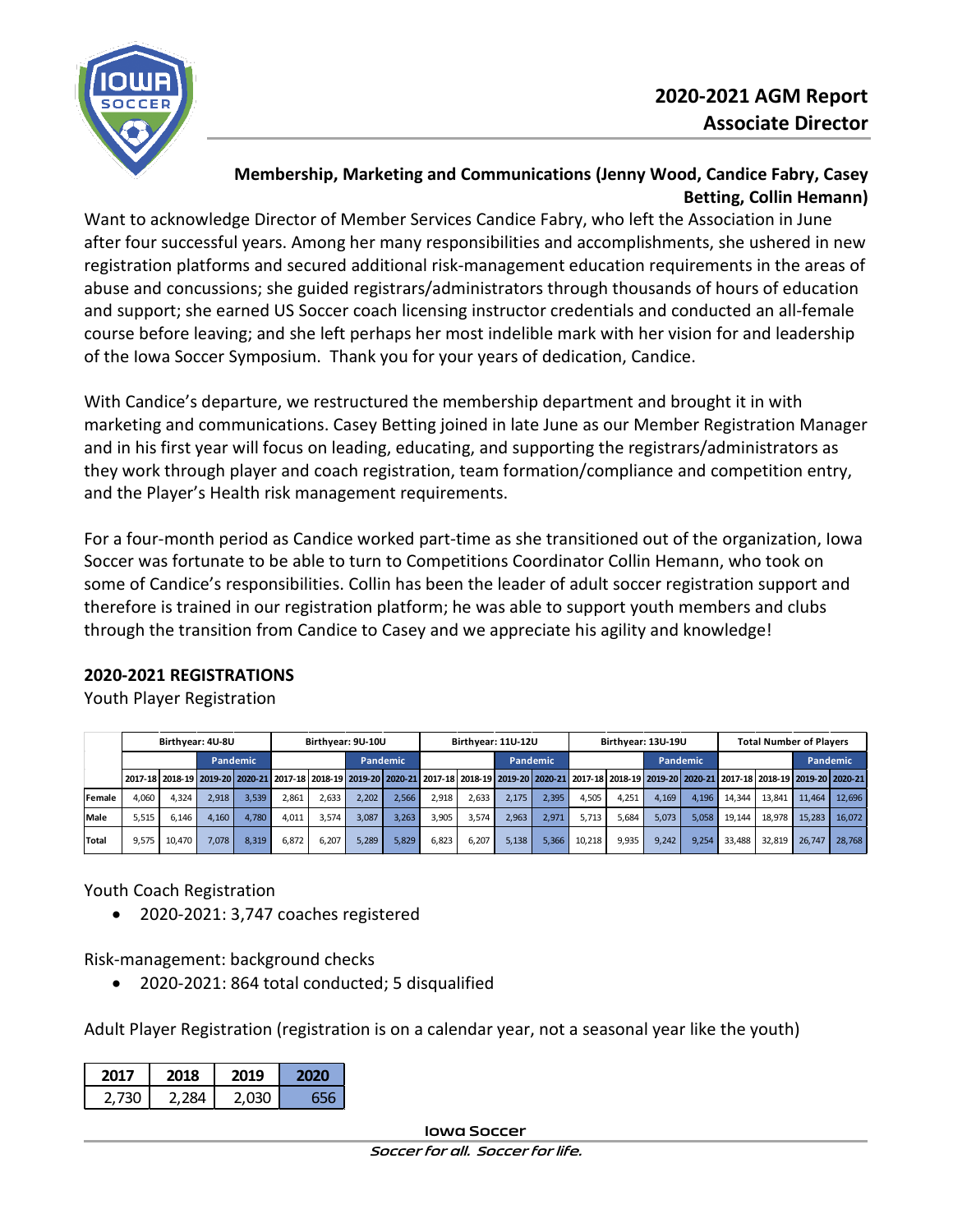

# **Membership, Marketing and Communications (Jenny Wood, Candice Fabry, Casey Betting, Collin Hemann)**

Want to acknowledge Director of Member Services Candice Fabry, who left the Association in June after four successful years. Among her many responsibilities and accomplishments, she ushered in new registration platforms and secured additional risk-management education requirements in the areas of abuse and concussions; she guided registrars/administrators through thousands of hours of education and support; she earned US Soccer coach licensing instructor credentials and conducted an all-female course before leaving; and she left perhaps her most indelible mark with her vision for and leadership of the Iowa Soccer Symposium. Thank you for your years of dedication, Candice.

With Candice's departure, we restructured the membership department and brought it in with marketing and communications. Casey Betting joined in late June as our Member Registration Manager and in his first year will focus on leading, educating, and supporting the registrars/administrators as they work through player and coach registration, team formation/compliance and competition entry, and the Player's Health risk management requirements.

For a four-month period as Candice worked part-time as she transitioned out of the organization, Iowa Soccer was fortunate to be able to turn to Competitions Coordinator Collin Hemann, who took on some of Candice's responsibilities. Collin has been the leader of adult soccer registration support and therefore is trained in our registration platform; he was able to support youth members and clubs through the transition from Candice to Casey and we appreciate his agility and knowledge!

# **2020-2021 REGISTRATIONS**

Youth Player Registration

|             | Birthyear: 4U-8U |        |                 |       | Birthyear: 9U-10U |       |                 |       | Birthvear: 11U-12U                                                                                                                                                                                                              |       |          |       | Birthvear: 13U-19U |       |          |       | <b>Total Number of Plavers</b> |        |          |        |
|-------------|------------------|--------|-----------------|-------|-------------------|-------|-----------------|-------|---------------------------------------------------------------------------------------------------------------------------------------------------------------------------------------------------------------------------------|-------|----------|-------|--------------------|-------|----------|-------|--------------------------------|--------|----------|--------|
|             |                  |        | <b>Pandemic</b> |       |                   |       | <b>Pandemic</b> |       |                                                                                                                                                                                                                                 |       | Pandemic |       |                    |       | Pandemic |       |                                |        | Pandemic |        |
|             |                  |        |                 |       |                   |       |                 |       | 2012-2012 2020-21 2020-21 2020-21 2017-18 2020-21 2020-21 2020-21 2017-18 2018-19 2019-20 2020-21 2017-18 2017-18 2018-19 2019-20 2020-21 2017-18 2018-19 2020-21 2020-21 2020-21 2020-21 2020-21 2020-21 2020-21 2020-21 2020- |       |          |       |                    |       |          |       |                                |        |          |        |
| Female      | 4.060            | 4.324  | 2.918           | 3.539 | 2.861             | 2.633 | 2.202           | 2.566 | 2.918                                                                                                                                                                                                                           | 2.633 | 2.175    | 2.395 | 4.505              | 4.251 | 4.169    | 4.196 | 14.344                         | 13.841 | 11.464   | 12.696 |
| <b>Male</b> | 5.515            | 6.146  | 4.160           | 4.780 | 4.011             | 3.574 | 3.087           | 3.263 | 3.905                                                                                                                                                                                                                           | 3.574 | 2.963    | 2.971 | 5.713              | 5.684 | 5.073    | 5.058 | 19.144                         | 18.978 | 15.283   | 16.072 |
| Total       | 9.575            | 10.470 | 7.078           | 8.319 | 6.872             | 6.207 | 5.289           | 5.829 | 6.823                                                                                                                                                                                                                           | 6.207 | 5.138    | 5.366 | 10.218             | 9.935 | 9.242    | 9.254 | 33.488                         | 32.819 | 26.747   | 28.768 |

# Youth Coach Registration

• 2020-2021: 3,747 coaches registered

Risk-management: background checks

• 2020-2021: 864 total conducted; 5 disqualified

Adult Player Registration (registration is on a calendar year, not a seasonal year like the youth)

| N17 | 18     | ۰ - ۱۵ |  |  |  |  |
|-----|--------|--------|--|--|--|--|
| 721 | ו סר ר | 2.030  |  |  |  |  |

**Iowa Soccer**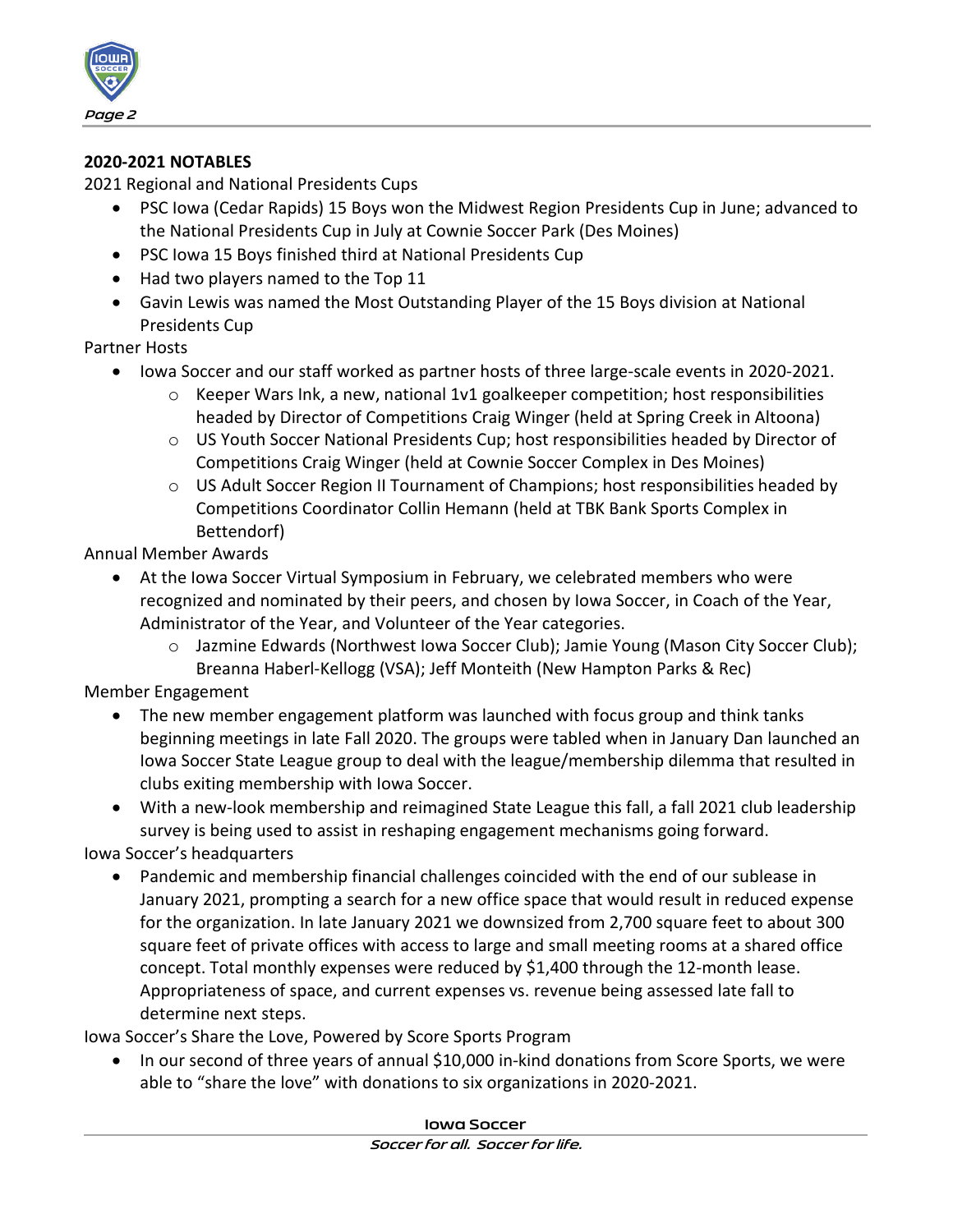

## **2020-2021 NOTABLES**

2021 Regional and National Presidents Cups

- PSC Iowa (Cedar Rapids) 15 Boys won the Midwest Region Presidents Cup in June; advanced to the National Presidents Cup in July at Cownie Soccer Park (Des Moines)
- PSC Iowa 15 Boys finished third at National Presidents Cup
- Had two players named to the Top 11
- Gavin Lewis was named the Most Outstanding Player of the 15 Boys division at National Presidents Cup

Partner Hosts

- Iowa Soccer and our staff worked as partner hosts of three large-scale events in 2020-2021.
	- $\circ$  Keeper Wars Ink, a new, national 1v1 goalkeeper competition; host responsibilities headed by Director of Competitions Craig Winger (held at Spring Creek in Altoona)
	- $\circ$  US Youth Soccer National Presidents Cup; host responsibilities headed by Director of Competitions Craig Winger (held at Cownie Soccer Complex in Des Moines)
	- $\circ$  US Adult Soccer Region II Tournament of Champions; host responsibilities headed by Competitions Coordinator Collin Hemann (held at TBK Bank Sports Complex in Bettendorf)

Annual Member Awards

- At the Iowa Soccer Virtual Symposium in February, we celebrated members who were recognized and nominated by their peers, and chosen by Iowa Soccer, in Coach of the Year, Administrator of the Year, and Volunteer of the Year categories.
	- o Jazmine Edwards (Northwest Iowa Soccer Club); Jamie Young (Mason City Soccer Club); Breanna Haberl-Kellogg (VSA); Jeff Monteith (New Hampton Parks & Rec)

Member Engagement

- The new member engagement platform was launched with focus group and think tanks beginning meetings in late Fall 2020. The groups were tabled when in January Dan launched an Iowa Soccer State League group to deal with the league/membership dilemma that resulted in clubs exiting membership with Iowa Soccer.
- With a new-look membership and reimagined State League this fall, a fall 2021 club leadership survey is being used to assist in reshaping engagement mechanisms going forward.

Iowa Soccer's headquarters

• Pandemic and membership financial challenges coincided with the end of our sublease in January 2021, prompting a search for a new office space that would result in reduced expense for the organization. In late January 2021 we downsized from 2,700 square feet to about 300 square feet of private offices with access to large and small meeting rooms at a shared office concept. Total monthly expenses were reduced by \$1,400 through the 12-month lease. Appropriateness of space, and current expenses vs. revenue being assessed late fall to determine next steps.

Iowa Soccer's Share the Love, Powered by Score Sports Program

• In our second of three years of annual \$10,000 in-kind donations from Score Sports, we were able to "share the love" with donations to six organizations in 2020-2021.